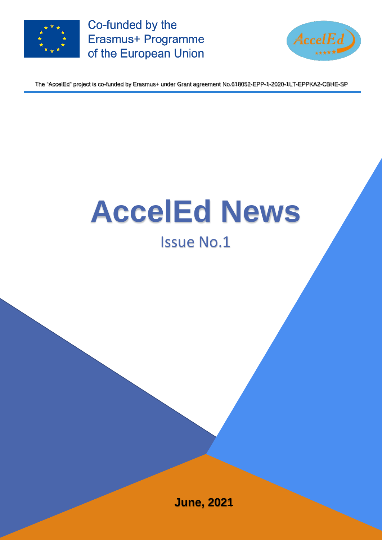

Co-funded by the Erasmus+ Programme of the European Union



The "AccelEd" project is co-funded by Erasmus+ under Grant agreement No.618052-EPP-1-2020-1LT-EPPKA2-CBHE-SP

# **AccelEd News** Issue No.1

**June, 2021**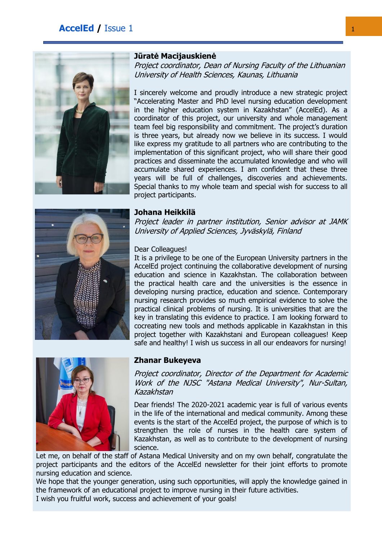# **AccelEd** / Issue 1 1





Project coordinator, Dean of Nursing Faculty of the Lithuanian University of Health Sciences, Kaunas, Lithuania

I sincerely welcome and proudly introduce a new strategic project "Accelerating Master and PhD level nursing education development in the higher education system in Kazakhstan" (AccelEd). As a coordinator of this project, our university and whole management team feel big responsibility and commitment. The project's duration is three years, but already now we believe in its success. I would like express my gratitude to all partners who are contributing to the implementation of this significant project, who will share their good practices and disseminate the accumulated knowledge and who will accumulate shared experiences. I am confident that these three years will be full of challenges, discoveries and achievements. Special thanks to my whole team and special wish for success to all project participants.



#### **Johana Heikkilä**

Project leader in partner institution, Senior advisor at JAMK University of Applied Sciences, Jyväskylä, Finland

#### Dear Colleagues!

It is a privilege to be one of the European University partners in the AccelEd project continuing the collaborative development of nursing education and science in Kazakhstan. The collaboration between the practical health care and the universities is the essence in developing nursing practice, education and science. Contemporary nursing research provides so much empirical evidence to solve the practical clinical problems of nursing. It is universities that are the key in translating this evidence to practice. I am looking forward to cocreating new tools and methods applicable in Kazakhstan in this project together with Kazakhstani and European colleagues! Keep safe and healthy! I wish us success in all our endeavors for nursing!



#### **Zhanar Bukeyeva**

Project coordinator, Director of the Department for Academic Work of the NJSC "Astana Medical University", Nur-Sultan, Kazakhstan

Dear friends! The 2020-2021 academic year is full of various events in the life of the international and medical community. Among these events is the start of the AccelEd project, the purpose of which is to strengthen the role of nurses in the health care system of Kazakhstan, as well as to contribute to the development of nursing science.

Let me, on behalf of the staff of Astana Medical University and on my own behalf, congratulate the project participants and the editors of the AccelEd newsletter for their joint efforts to promote nursing education and science.

We hope that the younger generation, using such opportunities, will apply the knowledge gained in the framework of an educational project to improve nursing in their future activities.

I wish you fruitful work, success and achievement of your goals!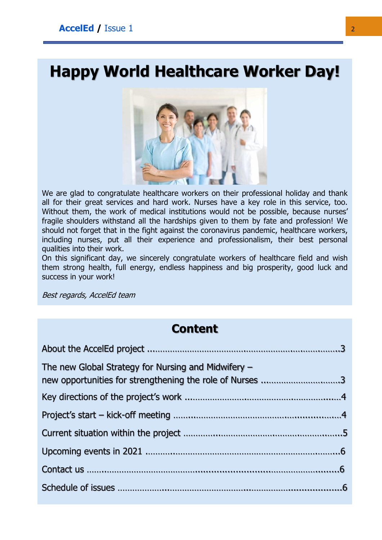# **Happy World Healthcare Worker Day!**



We are glad to congratulate healthcare workers on their professional holiday and thank all for their great services and hard work. Nurses have a key role in this service, too. Without them, the work of medical institutions would not be possible, because nurses' fragile shoulders withstand all the hardships given to them by fate and profession! We should not forget that in the fight against the coronavirus pandemic, healthcare workers, including nurses, put all their experience and professionalism, their best personal qualities into their work.

On this significant day, we sincerely congratulate workers of healthcare field and wish them strong health, full energy, endless happiness and big prosperity, good luck and success in your work!

Best regards, AccelEd team

# **Content**

| The new Global Strategy for Nursing and Midwifery $-$<br>new opportunities for strengthening the role of Nurses 3 |  |
|-------------------------------------------------------------------------------------------------------------------|--|
|                                                                                                                   |  |
|                                                                                                                   |  |
|                                                                                                                   |  |
|                                                                                                                   |  |
|                                                                                                                   |  |
|                                                                                                                   |  |
|                                                                                                                   |  |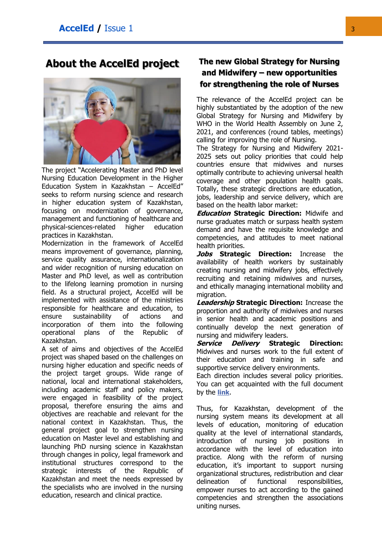**About the AccelEd project**



The project "Accelerating Master and PhD level Nursing Education Development in the Higher Education System in Kazakhstan – AccelEd" seeks to reform nursing science and research in higher education system of Kazakhstan, focusing on modernization of governance, management and functioning of healthcare and physical-sciences-related higher education practices in Kazakhstan.

Modernization in the framework of AccelEd means improvement of governance, planning, service quality assurance, internationalization and wider recognition of nursing education on Master and PhD level, as well as contribution to the lifelong learning promotion in nursing field. As a structural project, AccelEd will be implemented with assistance of the ministries responsible for healthcare and education, to ensure sustainability of actions and incorporation of them into the following operational plans of the Republic of Kazakhstan.

A set of aims and objectives of the AccelEd project was shaped based on the challenges on nursing higher education and specific needs of the project target groups. Wide range of national, local and international stakeholders, including academic staff and policy makers, were engaged in feasibility of the project proposal, therefore ensuring the aims and objectives are reachable and relevant for the national context in Kazakhstan. Thus, the general project goal to strengthen nursing education on Master level and establishing and launching PhD nursing science in Kazakhstan through changes in policy, legal framework and institutional structures correspond to the strategic interests of the Republic of Kazakhstan and meet the needs expressed by the specialists who are involved in the nursing education, research and clinical practice.

## **The new Global Strategy for Nursing and Midwifery – new opportunities for strengthening the role of Nurses**

The relevance of the AccelEd project can be highly substantiated by the adoption of the new Global Strategy for Nursing and Midwifery by WHO in the World Health Assembly on June 2, 2021, and conferences (round tables, meetings) calling for improving the role of Nursing.

The Strategy for Nursing and Midwifery 2021- 2025 sets out policy priorities that could help countries ensure that midwives and nurses optimally contribute to achieving universal health coverage and other population health goals. Totally, these strategic directions are education, jobs, leadership and service delivery, which are based on the health labor market:

**Education Strategic Direction:** Midwife and nurse graduates match or surpass health system demand and have the requisite knowledge and competencies, and attitudes to meet national health priorities.

**Jobs Strategic Direction:** Increase the availability of health workers by sustainably creating nursing and midwifery jobs, effectively recruiting and retaining midwives and nurses, and ethically managing international mobility and migration.

**Leadership Strategic Direction:** Increase the proportion and authority of midwives and nurses in senior health and academic positions and continually develop the next generation of nursing and midwifery leaders.

**Service Delivery Strategic Direction:** Midwives and nurses work to the full extent of their education and training in safe and supportive service delivery environments.

Each direction includes several policy priorities. You can get acquainted with the full document by the **[link](https://cdn.who.int/media/docs/default-source/health-workforce/who_strategic-directions-for-nursing-and-midwifery-2021-2025.pdf?sfvrsn=a5ffe81f_5&download=true)**.

Thus, for Kazakhstan, development of the nursing system means its development at all levels of education, monitoring of education quality at the level of international standards, introduction of nursing job positions in accordance with the level of education into practice. Along with the reform of nursing education, it's important to support nursing organizational structures, redistribution and clear delineation of functional responsibilities, empower nurses to act according to the gained competencies and strengthen the associations uniting nurses.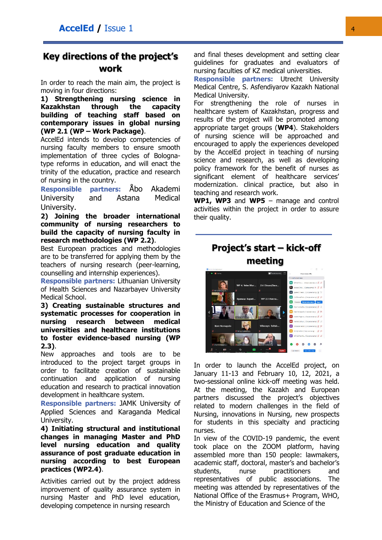# **Key directions of the project's work**

In order to reach the main aim, the project is moving in four directions:

**1) Strengthening nursing science in Kazakhstan through the capacity building of teaching staff based on contemporary issues in global nursing (WP 2.1 (WP – Work Package)**.

AccelEd intends to develop competencies of nursing faculty members to ensure smooth implementation of three cycles of Bolognatype reforms in education, and will enact the trinity of the education, practice and research of nursing in the country.

**Responsible partners:** Åbo Akademi University and Astana Medical University.

**2) Joining the broader international community of nursing researchers to build the capacity of nursing faculty in research methodologies (WP 2.2)**.

Best European practices and methodologies are to be transferred for applying them by the teachers of nursing research (peer-learning, counselling and internship experiences).

**Responsible partners:** Lithuanian University of Health Sciences and Nazarbayev University Medical School.

**3) Creating sustainable structures and systematic processes for cooperation in nursing research between medical universities and healthcare institutions to foster evidence-based nursing (WP 2.3)**.

New approaches and tools are to be introduced to the project target groups in order to facilitate creation of sustainable continuation and application of nursing education and research to practical innovation development in healthcare system.

**Responsible partners:** JAMK University of Applied Sciences and Karaganda Medical University.

**4) Initiating structural and institutional changes in managing Master and PhD level nursing education and quality assurance of post graduate education in nursing according to best European practices (WP2.4)**.

Activities carried out by the project address improvement of quality assurance system in nursing Master and PhD level education, developing competence in nursing research

and final theses development and setting clear guidelines for graduates and evaluators of nursing faculties of KZ medical universities.

**Responsible partners:** Utrecht University Medical Centre, S. Asfendiyarov Kazakh National Medical University.

For strengthening the role of nurses in healthcare system of Kazakhstan, progress and results of the project will be promoted among appropriate target groups (**WP4**). Stakeholders of nursing science will be approached and encouraged to apply the experiences developed by the AccelEd project in teaching of nursing science and research, as well as developing policy framework for the benefit of nurses as significant element of healthcare services' modernization. clinical practice, but also in teaching and research work.

**WP1, WP3** and **WP5** – manage and control activities within the project in order to assure their quality.

**Project's start – kick-off** 



In order to launch the AccelEd project, on January 11-13 and February 10, 12, 2021, a two-sessional online kick-off meeting was held. At the meeting, the Kazakh and European partners discussed the project's objectives related to modern challenges in the field of Nursing, innovations in Nursing, new prospects for students in this specialty and practicing nurses.

In view of the COVID-19 pandemic, the event took place on the ZOOM platform, having assembled more than 150 people: lawmakers, academic staff, doctoral, master's and bachelor's students, nurse practitioners and representatives of public associations. The meeting was attended by representatives of the National Office of the Erasmus+ Program, WHO, the Ministry of Education and Science of the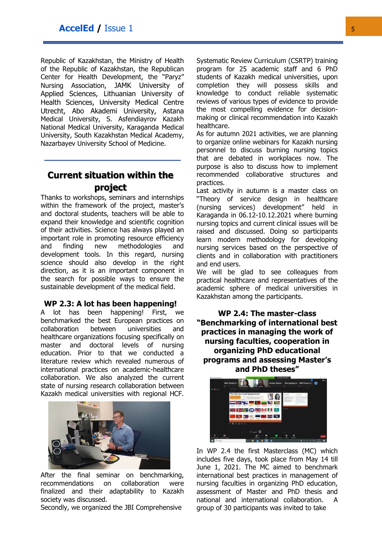Republic of Kazakhstan, the Ministry of Health of the Republic of Kazakhstan, the Republican Center for Health Development, the "Paryz" Nursing Association, JAMK University of Applied Sciences, Lithuanian University of Health Sciences, University Medical Centre Utrecht, Abo Akademi University, Astana Medical University, S. Asfendiayrov Kazakh National Medical University, Karaganda Medical University, South Kazakhstan Medical Academy, Nazarbayev University School of Medicine.

# **Current situation within the project**

Thanks to workshops, seminars and internships within the framework of the project, master's and doctoral students, teachers will be able to expand their knowledge and scientific cognition of their activities. Science has always played an important role in promoting resource efficiency and finding new methodologies and development tools. In this regard, nursing science should also develop in the right direction, as it is an important component in the search for possible ways to ensure the sustainable development of the medical field.

#### **WP 2.3: A lot has been happening!**

A lot has been happening! First, we benchmarked the best European practices on collaboration between universities and healthcare organizations focusing specifically on master and doctoral levels of nursing education. Prior to that we conducted a literature review which revealed numerous of international practices on academic-healthcare collaboration. We also analyzed the current state of nursing research collaboration between Kazakh medical universities with regional HCF.



After the final seminar on benchmarking, recommendations on collaboration were finalized and their adaptability to Kazakh society was discussed.

Secondly, we organized the JBI Comprehensive

Systematic Review Curriculum (CSRTP) training program for 25 academic staff and 6 PhD students of Kazakh medical universities, upon completion they will possess skills and knowledge to conduct reliable systematic reviews of various types of evidence to provide the most compelling evidence for decisionmaking or clinical recommendation into Kazakh healthcare.

As for autumn 2021 activities, we are planning to organize online webinars for Kazakh nursing personnel to discuss burning nursing topics that are debated in workplaces now. The purpose is also to discuss how to implement recommended collaborative structures and practices.

Last activity in autumn is a master class on "Theory of service design in healthcare (nursing services) development" held in Karaganda in 06.12-10.12.2021 where burning nursing topics and current clinical issues will be raised and discussed. Doing so participants learn modern methodology for developing nursing services based on the perspective of clients and in collaboration with practitioners and end users.

We will be glad to see colleagues from practical healthcare and representatives of the academic sphere of medical universities in Kazakhstan among the participants.

**WP 2.4: The master-class "Benchmarking of international best practices in managing the work of nursing faculties, cooperation in organizing PhD educational programs and assessing Master's and PhD theses"**



In WP 2.4 the first Masterclass (MC) which includes five days, took place from May 14 till June 1, 2021. The MC aimed to benchmark international best practices in management of nursing faculties in organizing PhD education, assessment of Master and PhD thesis and national and international collaboration. A group of 30 participants was invited to take